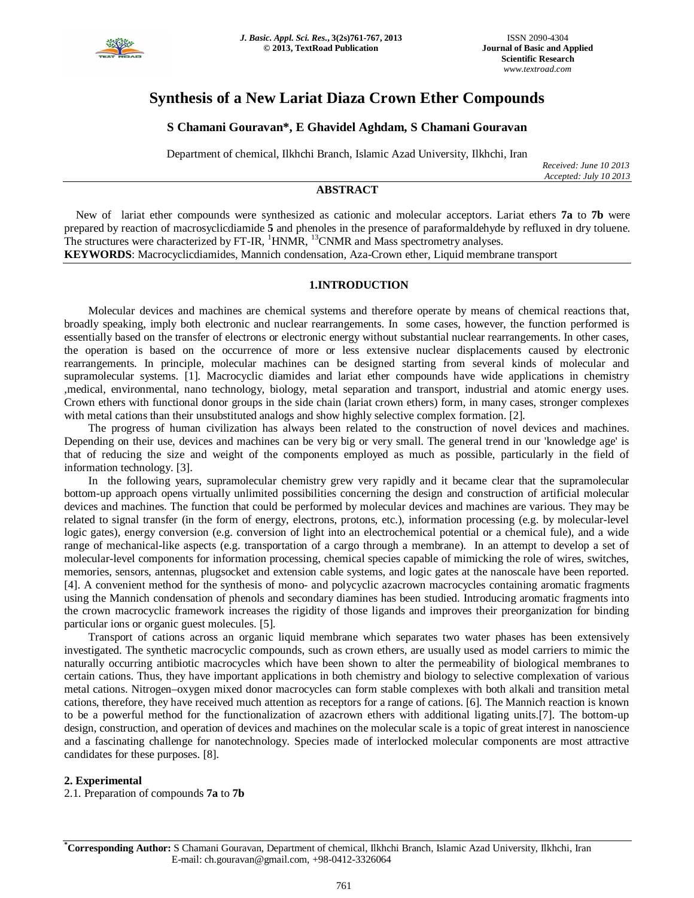

# **Synthesis of a New Lariat Diaza Crown Ether Compounds**

## **S Chamani Gouravan\*, E Ghavidel Aghdam, S Chamani Gouravan**

Department of chemical, Ilkhchi Branch, Islamic Azad University, Ilkhchi, Iran

*Received: June 10 2013 Accepted: July 10 2013*

### **ABSTRACT**

 New of lariat ether compounds were synthesized as cationic and molecular acceptors. Lariat ethers **7a** to **7b** were prepared by reaction of macrosyclicdiamide **5** and phenoles in the presence of paraformaldehyde by refluxed in dry toluene. The structures were characterized by  $FT-IR$ ,  $^{1}$ HNMR,  $^{13}$ CNMR and Mass spectrometry analyses.

**KEYWORDS**: Macrocyclicdiamides, Mannich condensation, Aza-Crown ether, Liquid membrane transport

#### **1.INTRODUCTION**

Molecular devices and machines are chemical systems and therefore operate by means of chemical reactions that, broadly speaking, imply both electronic and nuclear rearrangements. In some cases, however, the function performed is essentially based on the transfer of electrons or electronic energy without substantial nuclear rearrangements. In other cases, the operation is based on the occurrence of more or less extensive nuclear displacements caused by electronic rearrangements. In principle, molecular machines can be designed starting from several kinds of molecular and supramolecular systems. [1]. Macrocyclic diamides and lariat ether compounds have wide applications in chemistry ,medical, environmental, nano technology, biology, metal separation and transport, industrial and atomic energy uses. Crown ethers with functional donor groups in the side chain (lariat crown ethers) form, in many cases, stronger complexes with metal cations than their unsubstituted analogs and show highly selective complex formation. [2].

The progress of human civilization has always been related to the construction of novel devices and machines. Depending on their use, devices and machines can be very big or very small. The general trend in our 'knowledge age' is that of reducing the size and weight of the components employed as much as possible, particularly in the field of information technology. [3].

In the following years, supramolecular chemistry grew very rapidly and it became clear that the supramolecular bottom-up approach opens virtually unlimited possibilities concerning the design and construction of artificial molecular devices and machines. The function that could be performed by molecular devices and machines are various. They may be related to signal transfer (in the form of energy, electrons, protons, etc.), information processing (e.g. by molecular-level logic gates), energy conversion (e.g. conversion of light into an electrochemical potential or a chemical fule), and a wide range of mechanical-like aspects (e.g. transportation of a cargo through a membrane). In an attempt to develop a set of molecular-level components for information processing, chemical species capable of mimicking the role of wires, switches, memories, sensors, antennas, plugsocket and extension cable systems, and logic gates at the nanoscale have been reported. [4]. A convenient method for the synthesis of mono- and polycyclic azacrown macrocycles containing aromatic fragments using the Mannich condensation of phenols and secondary diamines has been studied. Introducing aromatic fragments into the crown macrocyclic framework increases the rigidity of those ligands and improves their preorganization for binding particular ions or organic guest molecules. [5].

Transport of cations across an organic liquid membrane which separates two water phases has been extensively investigated. The synthetic macrocyclic compounds, such as crown ethers, are usually used as model carriers to mimic the naturally occurring antibiotic macrocycles which have been shown to alter the permeability of biological membranes to certain cations. Thus, they have important applications in both chemistry and biology to selective complexation of various metal cations. Nitrogen–oxygen mixed donor macrocycles can form stable complexes with both alkali and transition metal cations, therefore, they have received much attention as receptors for a range of cations. [6]. The Mannich reaction is known to be a powerful method for the functionalization of azacrown ethers with additional ligating units.[7]. The bottom-up design, construction, and operation of devices and machines on the molecular scale is a topic of great interest in nanoscience and a fascinating challenge for nanotechnology. Species made of interlocked molecular components are most attractive candidates for these purposes. [8].

#### **2. Experimental**

2.1. Preparation of compounds **7a** to **7b**

**\*Corresponding Author:** S Chamani Gouravan, Department of chemical, Ilkhchi Branch, Islamic Azad University, Ilkhchi, Iran E-mail: ch.gouravan@gmail.com, +98-0412-3326064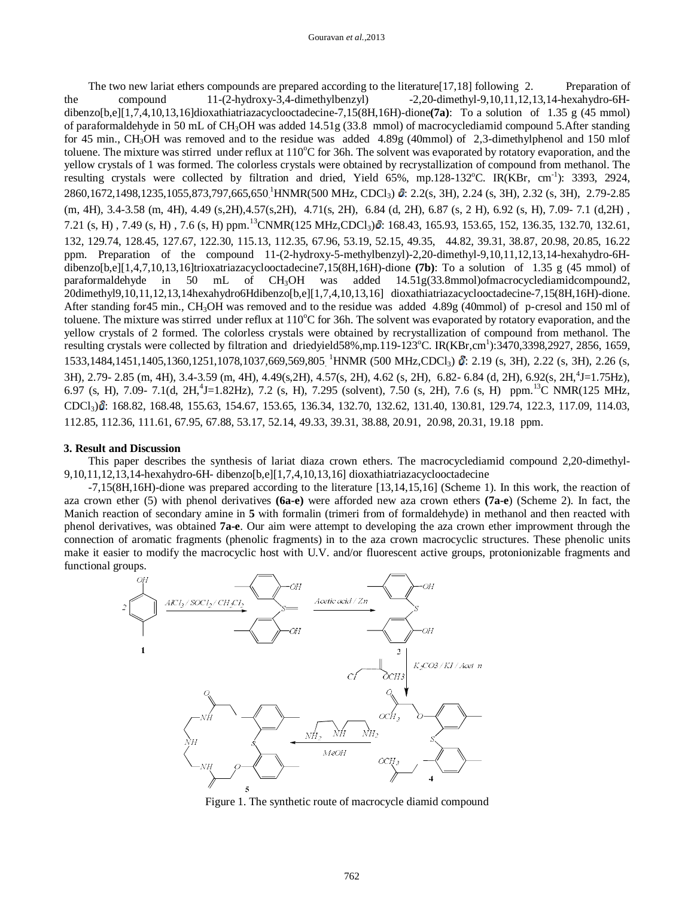The two new lariat ethers compounds are prepared according to the literature [17,18] following 2. Preparation of the compound 11-(2-hydroxy-3,4-dimethylbenzyl) -2,20-dimethyl-9,10,11,12,13,14-hexahydro-6Hdibenzo[b,e][1,7,4,10,13,16]dioxathiatriazacyclooctadecine-7,15(8H,16H)-dione**(7a)**: To a solution of 1.35 g (45 mmol) of paraformaldehyde in 50 mL of CH3OH was added 14.51g (33.8 mmol) of macrocyclediamid compound 5.After standing for 45 min., CH3OH was removed and to the residue was added 4.89g (40mmol) of 2,3-dimethylphenol and 150 mlof toluene. The mixture was stirred under reflux at  $110^{\circ}$ C for 36h. The solvent was evaporated by rotatory evaporation, and the yellow crystals of 1 was formed. The colorless crystals were obtained by recrystallization of compound from methanol. The resulting crystals were collected by filtration and dried, Yield 65%, mp.128-132°C. IR(KBr, cm<sup>-1</sup>): 3393, 2924, 2860,1672,1498,1235,1055,873,797,665,650<sup>1</sup>HNMR(500 MHz, CDCl<sub>3</sub>) &: 2.2(s, 3H), 2.24 (s, 3H), 2.32 (s, 3H), 2.79-2.85 (m, 4H), 3.4-3.58 (m, 4H), 4.49 (s,2H),4.57(s,2H), 4.71(s, 2H), 6.84 (d, 2H), 6.87 (s, 2 H), 6.92 (s, H), 7.09- 7.1 (d,2H) , 7.21 (s, H), 7.49 (s, H), 7.6 (s, H) ppm.<sup>13</sup>CNMR(125 MHz,CDCl<sub>3</sub>) $\delta$ : 168.43, 165.93, 153.65, 152, 136.35, 132.70, 132.61, 132, 129.74, 128.45, 127.67, 122.30, 115.13, 112.35, 67.96, 53.19, 52.15, 49.35, 44.82, 39.31, 38.87, 20.98, 20.85, 16.22 ppm. Preparation of the compound 11-(2-hydroxy-5-methylbenzyl)-2,20-dimethyl-9,10,11,12,13,14-hexahydro-6Hdibenzo[b,e][1,4,7,10,13,16]trioxatriazacyclooctadecine7,15(8H,16H)-dione **(7b)**: To a solution of 1.35 g (45 mmol) of paraformaldehyde in 50 mL of CH3OH was added 14.51g(33.8mmol)ofmacrocyclediamidcompound2, 20dimethyl9,10,11,12,13,14hexahydro6Hdibenzo[b,e][1,7,4,10,13,16] dioxathiatriazacyclooctadecine-7,15(8H,16H)-dione. After standing for45 min., CH<sub>3</sub>OH was removed and to the residue was added 4.89g (40mmol) of p-cresol and 150 ml of toluene. The mixture was stirred under reflux at  $110^{\circ}$ C for 36h. The solvent was evaporated by rotatory evaporation, and the yellow crystals of 2 formed. The colorless crystals were obtained by recrystallization of compound from methanol. The resulting crystals were collected by filtration and driedyield58%,mp.119-123°C. IR(KBr,cm<sup>1</sup>):3470,3398,2927, 2856, 1659, 1533,1484,1451,1405,1360,1251,1078,1037,669,569,805<sub>.</sub><sup>1</sup>HNMR (500 MHz,CDCl<sub>3</sub>) **i**: 2.19 (s, 3H), 2.22 (s, 3H), 2.26 (s, 3H), 2.79- 2.85 (m, 4H), 3.4-3.59 (m, 4H), 4.49(s,2H), 4.57(s, 2H), 4.62 (s, 2H), 6.82- 6.84 (d, 2H), 6.92(s, 2H,<sup>4</sup>J=1.75Hz), 6.97 (s, H), 7.09- 7.1(d, 2H,<sup>4</sup>J=1.82Hz), 7.2 (s, H), 7.295 (solvent), 7.50 (s, 2H), 7.6 (s, H) ppm.<sup>13</sup>C NMR(125 MHz, CDCl3) : 168.82, 168.48, 155.63, 154.67, 153.65, 136.34, 132.70, 132.62, 131.40, 130.81, 129.74, 122.3, 117.09, 114.03, 112.85, 112.36, 111.61, 67.95, 67.88, 53.17, 52.14, 49.33, 39.31, 38.88, 20.91, 20.98, 20.31, 19.18 ppm.

#### **3. Result and Discussion**

This paper describes the synthesis of lariat diaza crown ethers. The macrocyclediamid compound 2,20-dimethyl-9,10,11,12,13,14-hexahydro-6H- dibenzo[b,e][1,7,4,10,13,16] dioxathiatriazacyclooctadecine

-7,15(8H,16H)-dione was prepared according to the literature [13,14,15,16] (Scheme 1). In this work, the reaction of aza crown ether (5) with phenol derivatives **(6a-e)** were afforded new aza crown ethers **(7a-e**) (Scheme 2). In fact, the Manich reaction of secondary amine in **5** with formalin (trimeri from of formaldehyde) in methanol and then reacted with phenol derivatives, was obtained **7a-e**. Our aim were attempt to developing the aza crown ether improwment through the connection of aromatic fragments (phenolic fragments) in to the aza crown macrocyclic structures. These phenolic units make it easier to modify the macrocyclic host with U.V. and/or fluorescent active groups, protonionizable fragments and functional groups.



Figure 1. The synthetic route of macrocycle diamid compound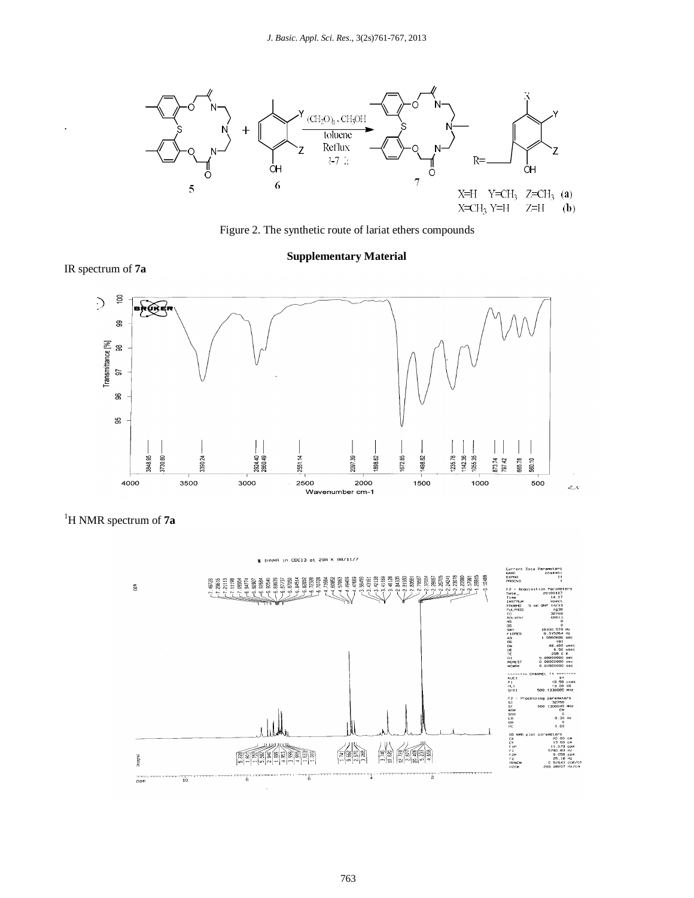

Figure 2. The synthetic route of lariat ethers compounds

## **Supplementary Material**







IR spectrum of **7a**

.

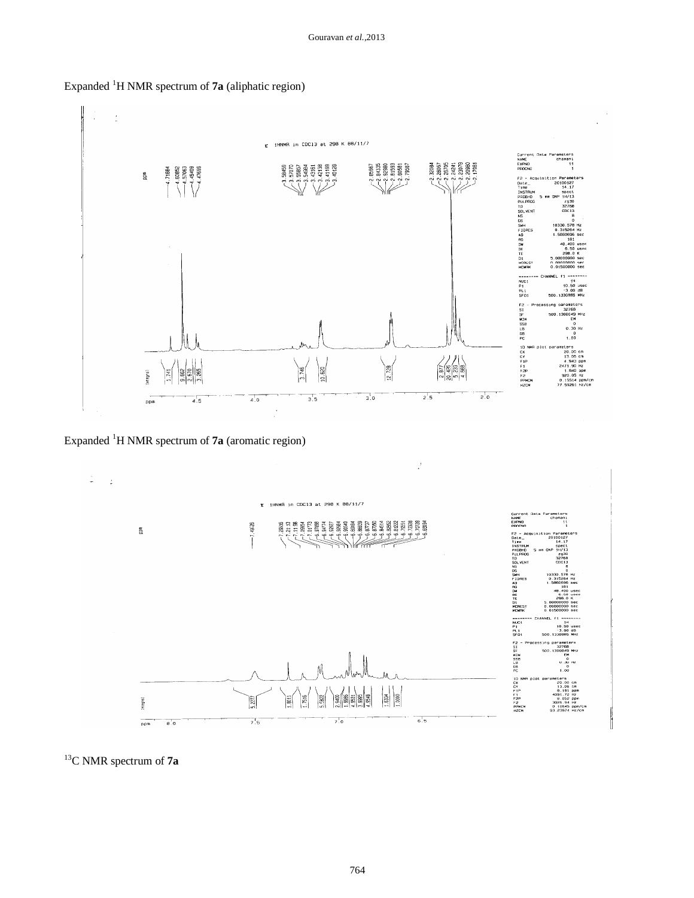

## Expanded <sup>1</sup>H NMR spectrum of **7a** (aliphatic region)

Expanded <sup>1</sup>H NMR spectrum of **7a** (aromatic region)



<sup>13</sup>C NMR spectrum of **7a**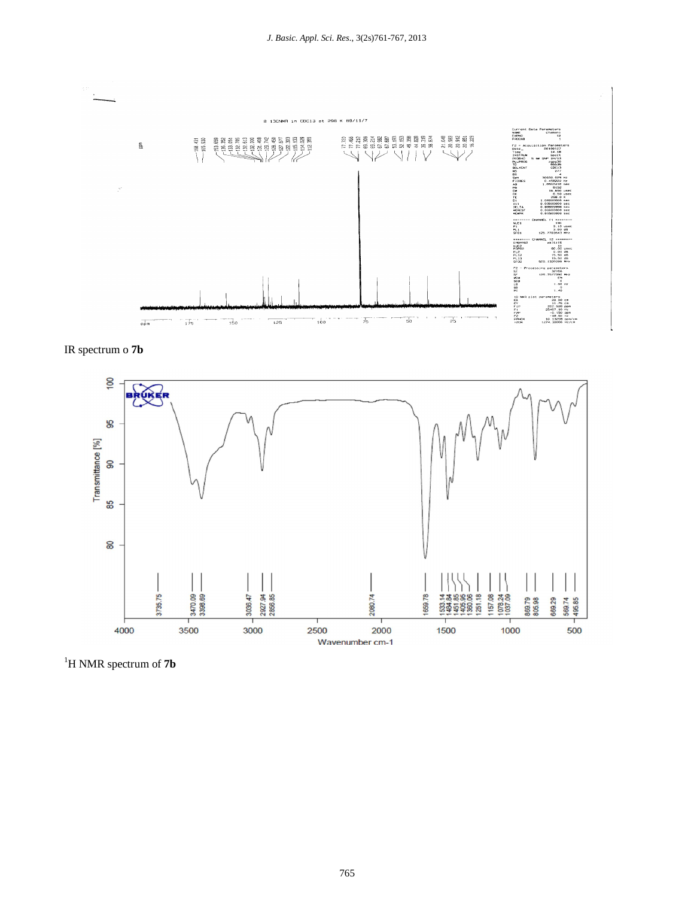

IR spectrum o **7b**



<sup>1</sup>H NMR spectrum of **7b**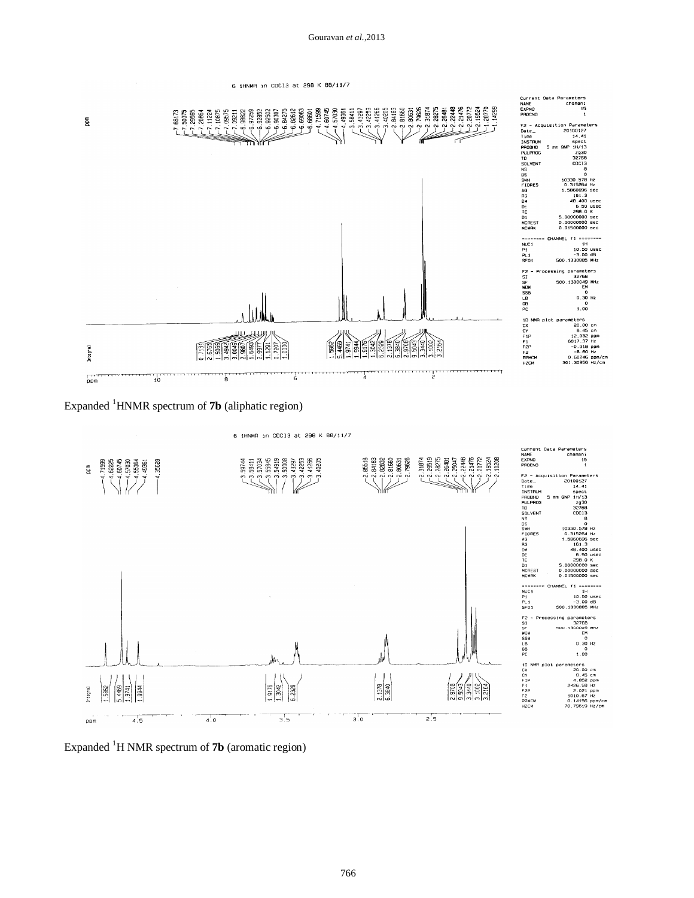6 1HNMR in CDC13 at 298 K 88/11/7

Current Oata Parameters<br>NAME chamani<br>EXPNO 15<br>PROCNO 1  $\begin{array}{l} \Gamma_{\text{eff}}^{\text{L}}\Gamma_{\text{eff}}^{\text{L}}\Gamma_{\text{eff}}^{\text{L}}\Gamma_{\text{eff}}^{\text{L}}\Gamma_{\text{eff}}^{\text{L}}\Gamma_{\text{eff}}^{\text{L}}\Gamma_{\text{eff}}^{\text{L}}\Gamma_{\text{eff}}^{\text{L}}\Gamma_{\text{eff}}^{\text{L}}\Gamma_{\text{eff}}^{\text{L}}\Gamma_{\text{eff}}^{\text{L}}\Gamma_{\text{eff}}^{\text{L}}\Gamma_{\text{eff}}^{\text{L}}\Gamma_{\text{eff}}^{\text{L}}\Gamma_{\text{eff}}^{\text{L}}\Gamma_{$  $\overline{\mathbf{g}}$ F2 - Acc<br>INSTRUMENT PRODUCTION<br>PRODUCTION<br>INSTRUMENT DRESS<br>NORTHEREST<br>PROPERT Parameters ÏÏ,  $\sum_{i=1}^{n}$ 20100127 14.41 spect<br>1H/13<br>2930<br>32768<br>COC13 10330.578 Hz<br>0.315264 Hz 161 48.400 0<br>6.50 u<br>298.0 K<br>00000000 s  $sec$ 0.00000000 sec<br>0.01500000 sec =====<br>NUC1<br>P1<br>PL1<br>SF01 11 \*\*\*\*\*\*\*\*  $11$ <br> $10.50$  usec<br> $-3.00$  dB<br>330885 MHz ng parameters 32768<br>500.1300049 MHz<br>6M<br>0.30 Hz  $\begin{smallmatrix}&&0\\&&1\\1.00\end{smallmatrix}$ meters<br>20.00 cm<br>8.45 cm<br>12.032 ppm<br>6017.37 Hz<br>-0.018 ppm<br>-8.60 Hz<br>0.50246 ppm/cm<br>0.50246 ppm/cm<br>11.30856 Hz/cm 1D NMF<br>CX<br>F1P<br>F1P<br>F2P<br>F2P<br>PPMCM<br>HZCM 1.9141 **ESCRY** Integral יי⊤ך<br>חקק  $\frac{1}{10}$ à 6

## Expanded <sup>1</sup>HNMR spectrum of **7b** (aliphatic region)



Expanded <sup>1</sup>H NMR spectrum of **7b** (aromatic region)